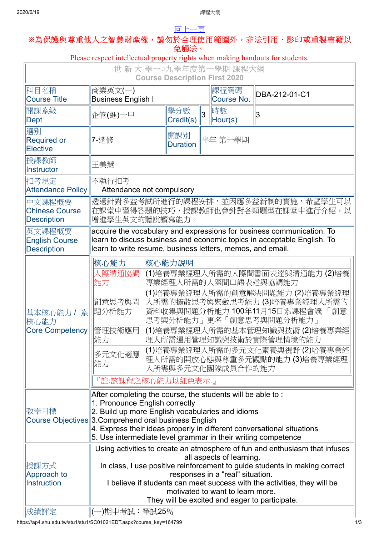## [回上一頁](javascript:history.back()) **※**為保護與尊重他人之智慧財產權,請勿於合理使用範圍外,非法引用、影印或重製書籍以

## 免觸法。 Please respect intellectual property rights when making handouts for students. 世 新 大 學一**○**九學年度第一學期 課程大綱 **Course Description First 2020** 科目名稱 Course Title 商業英文(一) Business English I 課程簡碼 <sup>誅性間</sup>啊 **DBA-212-01-C1**<br>Course No. 開課系級 開課系級 <sub>企管</sub>(進)一甲 <mark>學分數</mark><br>Dept Metal 學分數 3 時數<br>Credit(s) 3 Hour <sup>旧寸要人</sup><br>Hour(s) │3 選別 Required or **Elective** │ 7-選修 <mark>開課別</mark><br>│ Duration 半年 第一學期 授課教師 <sup>I又祕我剛</sup> <mark>王美慧</mark> 扣考規定 Attendance Policy 不執行扣考 Attendance not compulsory 中文課程概要 Chinese Course **Description** 透過針對多益考試所進行的課程安排,並因應多益新制的實施,希望學生可以 在課堂中習得答題的技巧,授課教師也會針對各類題型在課堂中進行介紹,以 增進學生英文的聽說讀寫能力。 英文課程概要 English Course **Description** acquire the vocabulary and expressions for business communication. To learn to discuss business and economic topics in acceptable English. To learn to write resume, business letters, memos, and email. 基本核心能力 / 系 核心能力 Core Competency 核心能力 核心能力說明 人際溝通協調 能力 (1)培養專業經理人所需的人際間書面表達與溝通能力 (2)培養 專業經理人所需的人際間口語表達與協調能力 創意思考與問 題分析能力 (1)培養專業經理人所需的創意解決問題能力 (2)培養專業經理 人所需的擴散思考與聚斂思考能力 (3)培養專業經理人所需的 資料收集與問題分析能力 100年11月15日系課程會議 「創意 思考與分析能力」更名「創意思考與問題分析能力」 管理技術應用 能力 (1)培養專業經理人所需的基本管理知識與技術 (2)培養專業經 理人所需運用管理知識與技術於實際管理情境的能力 多元文化適應 能力 (1)培養專業經理人所需的多元文化素養與視野 (2)培養專業經 理人所需的開放心態與尊重多元觀點的能力 (3)培養專業經理 人所需與多元文化團隊成員合作的能力 『註:該課程之核心能力以紅色表示.』 教學目標 Course Objectives 3.Comprehend oral business English After completing the course, the students will be able to : 1. Pronounce English correctly 2. Build up more English vocabularies and idioms  $|4$ . Express their ideas properly in different conversational situations 5. Use intermediate level grammar in their writing competence 授課方式 Approach to **Instruction** Using activities to create an atmosphere of fun and enthusiasm that infuses all aspects of learning. In class, I use positive reinforcement to guide students in making correct responses in a "real" situation. I believe if students can meet success with the activities, they will be motivated to want to learn more. They will be excited and eager to participate. ||成績評定 ||(一)期中考試:筆試25%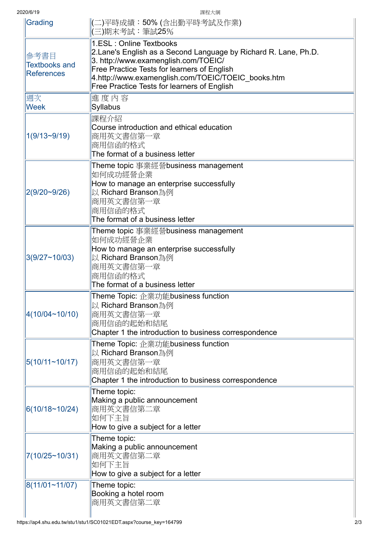2020/6/19 課程大綱

|Grading ||(二)平時成績:50% (含出勤平時考試及作業) (三)期末考試:筆試25% 參考書目 Textbooks and **References** 1.ESL : Online Textbooks 2.Lane's English as a Second Language by Richard R. Lane, Ph.D. 3. http://www.examenglish.com/TOEIC/ Free Practice Tests for learners of English 4.http://www.examenglish.com/TOEIC/TOEIC\_books.htm Free Practice Tests for learners of English 週次 **Week** 進 度 內 容 Syllabus 1(9/13~9/19) 課程介紹 Course introduction and ethical education 商用英文書信第一章 商用信函的格式 The format of a business letter 2(9/20~9/26) Theme topic 事業經營business management 如何成功經營企業 How to manage an enterprise successfully 以 Richard Branson為例 商用英文書信第一章 商用信函的格式 The format of a business letter 3(9/27~10/03) Theme topic 事業經營business management 如何成功經營企業 How to manage an enterprise successfully 以 Richard Branson為例 商用英文書信第一章 商用信函的格式 The format of a business letter 4(10/04~10/10) Theme Topic: 企業功能business function 以 Richard Branson為例 商用英文書信第一章 商用信函的起始和結尾 Chapter 1 the introduction to business correspondence 5(10/11~10/17) Theme Topic: 企業功能business function 以 Richard Branson為例 商用英文書信第一章 商用信函的起始和結尾 Chapter 1 the introduction to business correspondence 6(10/18~10/24) Theme topic: Making a public announcement 商用英文書信第二章 如何下主旨 How to give a subject for a letter 7(10/25~10/31) Theme topic: Making a public announcement 商用英文書信第二章 如何下主旨 How to give a subject for a letter 8(11/01~11/07) Theme topic: Booking a hotel room 商用英文書信第二章